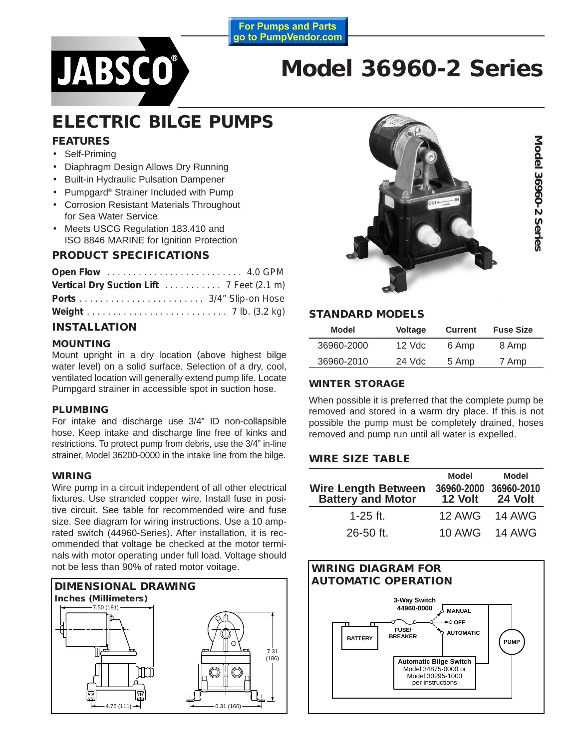

# **Model 36960-2 Series**

**For Pumps and Parts** go to PumpVendor.com

## **ELECTRIC BILGE PUMPS**

#### **FEATURES**

- Self-Priming
- Diaphragm Design Allows Dry Running
- Built-in Hydraulic Pulsation Dampener
- Pumpgard® Strainer Included with Pump
- Corrosion Resistant Materials Throughout for Sea Water Service
- Meets USCG Regulation 183.410 and ISO 8846 MARINE for Ignition Protection

#### **PRODUCT SPECIFICATIONS**

| Vertical Dry Suction Lift 7 Feet (2.1 m) |  |
|------------------------------------------|--|
|                                          |  |
|                                          |  |

#### **INSTALLATION**

#### **MOUNTING**

Mount upright in a dry location (above highest bilge water level) on a solid surface. Selection of a dry, cool, ventilated location will generally extend pump life. Locate Pumpgard strainer in accessible spot in suction hose.

#### **PLUMBING**

For intake and discharge use 3/4" ID non-collapsible hose. Keep intake and discharge line free of kinks and restrictions. To protect pump from debris, use the 3/4" in-line strainer, Model 36200-0000 in the intake line from the bilge.

#### **WIRING**

Wire pump in a circuit independent of all other electrical fixtures. Use stranded copper wire. Install fuse in positive circuit. See table for recommended wire and fuse size. See diagram for wiring instructions. Use a 10 amprated switch (44960-Series). After installation, it is recommended that voltage be checked at the motor terminals with motor operating under full load. Voltage should not be less than 90% of rated motor voitage.





**Model 36960-2 Series**

Model 36960-2 Series

#### **STANDARD MODELS**

| Model      | <b>Voltage</b> | <b>Current</b> | <b>Fuse Size</b> |
|------------|----------------|----------------|------------------|
| 36960-2000 | $12$ Vdc       | 6 Amp          | 8 Amp            |
| 36960-2010 | 24 Vdc         | 5 Amp          | 7 Amp            |

#### **WINTER STORAGE**

When possible it is preferred that the complete pump be removed and stored in a warm dry place. If this is not possible the pump must be completely drained, hoses removed and pump run until all water is expelled.

#### **WIRE SIZE TABLE**

| <b>Wire Length Between</b><br><b>Battery and Motor</b> | <b>Model</b><br>36960-2000<br>12 Volt | Model<br>36960-2010<br>24 Volt |  |
|--------------------------------------------------------|---------------------------------------|--------------------------------|--|
| $1-25$ ft.                                             | <b>12 AWG</b>                         | <b>14 AWG</b>                  |  |
| 26-50 ft.                                              | <b>10 AWG</b>                         | <b>14 AWG</b>                  |  |